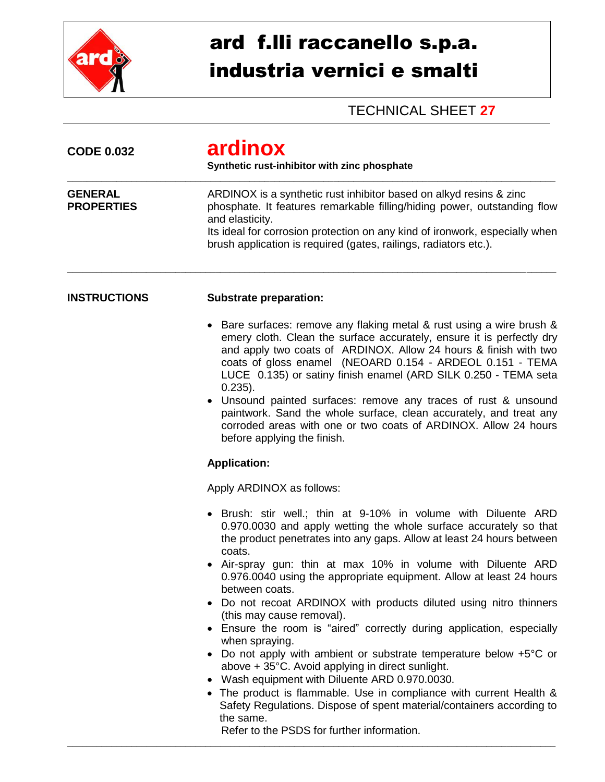

## ard f.lli raccanello s.p.a. industria vernici e smalti

## TECHNICAL SHEET **27**

| <b>CODE 0.032</b>                   | ardinox<br>Synthetic rust-inhibitor with zinc phosphate<br>ARDINOX is a synthetic rust inhibitor based on alkyd resins & zinc<br>phosphate. It features remarkable filling/hiding power, outstanding flow<br>and elasticity.<br>Its ideal for corrosion protection on any kind of ironwork, especially when<br>brush application is required (gates, railings, radiators etc.).                                                                                                                                                                                                                                                                                                                                                                                                                                                                                                                                                                                |  |
|-------------------------------------|----------------------------------------------------------------------------------------------------------------------------------------------------------------------------------------------------------------------------------------------------------------------------------------------------------------------------------------------------------------------------------------------------------------------------------------------------------------------------------------------------------------------------------------------------------------------------------------------------------------------------------------------------------------------------------------------------------------------------------------------------------------------------------------------------------------------------------------------------------------------------------------------------------------------------------------------------------------|--|
| <b>GENERAL</b><br><b>PROPERTIES</b> |                                                                                                                                                                                                                                                                                                                                                                                                                                                                                                                                                                                                                                                                                                                                                                                                                                                                                                                                                                |  |
| <b>INSTRUCTIONS</b>                 | <b>Substrate preparation:</b>                                                                                                                                                                                                                                                                                                                                                                                                                                                                                                                                                                                                                                                                                                                                                                                                                                                                                                                                  |  |
|                                     | Bare surfaces: remove any flaking metal & rust using a wire brush &<br>emery cloth. Clean the surface accurately, ensure it is perfectly dry<br>and apply two coats of ARDINOX. Allow 24 hours & finish with two<br>coats of gloss enamel (NEOARD 0.154 - ARDEOL 0.151 - TEMA<br>LUCE 0.135) or satiny finish enamel (ARD SILK 0.250 - TEMA seta<br>$0.235$ ).<br>Unsound painted surfaces: remove any traces of rust & unsound<br>paintwork. Sand the whole surface, clean accurately, and treat any<br>corroded areas with one or two coats of ARDINOX. Allow 24 hours<br>before applying the finish.                                                                                                                                                                                                                                                                                                                                                        |  |
|                                     | <b>Application:</b>                                                                                                                                                                                                                                                                                                                                                                                                                                                                                                                                                                                                                                                                                                                                                                                                                                                                                                                                            |  |
|                                     | Apply ARDINOX as follows:                                                                                                                                                                                                                                                                                                                                                                                                                                                                                                                                                                                                                                                                                                                                                                                                                                                                                                                                      |  |
|                                     | • Brush: stir well.; thin at 9-10% in volume with Diluente ARD<br>0.970.0030 and apply wetting the whole surface accurately so that<br>the product penetrates into any gaps. Allow at least 24 hours between<br>coats.<br>Air-spray gun: thin at max 10% in volume with Diluente ARD<br>0.976.0040 using the appropriate equipment. Allow at least 24 hours<br>between coats.<br>• Do not recoat ARDINOX with products diluted using nitro thinners<br>(this may cause removal).<br>• Ensure the room is "aired" correctly during application, especially<br>when spraying.<br>Do not apply with ambient or substrate temperature below +5°C or<br>above + 35°C. Avoid applying in direct sunlight.<br>Wash equipment with Diluente ARD 0.970.0030.<br>• The product is flammable. Use in compliance with current Health &<br>Safety Regulations. Dispose of spent material/containers according to<br>the same.<br>Refer to the PSDS for further information. |  |

\_\_\_\_\_\_\_\_\_\_\_\_\_\_\_\_\_\_\_\_\_\_\_\_\_\_\_\_\_\_\_\_\_\_\_\_\_\_\_\_\_\_\_\_\_\_\_\_\_\_\_\_\_\_\_\_\_\_\_\_\_\_\_\_\_\_\_\_\_\_\_\_\_\_\_\_\_\_\_\_\_\_\_\_\_\_\_\_\_\_\_\_\_\_\_\_\_\_\_